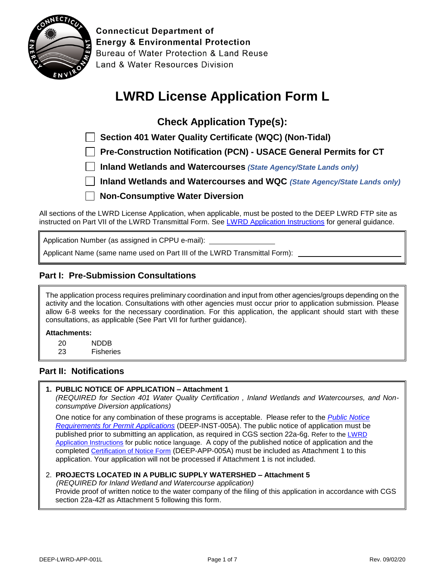

**Connecticut Department of Energy & Environmental Protection** Bureau of Water Protection & Land Reuse Land & Water Resources Division

# **LWRD License Application Form L**

**Check Application Type(s):**

 **Section 401 Water Quality Certificate (WQC) (Non-Tidal)**

 **Pre-Construction Notification (PCN) - USACE General Permits for CT**

 **Inland Wetlands and Watercourses** *(State Agency/State Lands only)*

 **Inland Wetlands and Watercourses and WQC** *(State Agency/State Lands only)*

**Non-Consumptive Water Diversion**

All sections of the LWRD License Application, when applicable, must be posted to the DEEP LWRD FTP site as instructed on Part VII of the LWRD Transmittal Form. Se[e LWRD Application Instructions](https://portal.ct.gov/-/media/DEEP/Permits_and_Licenses/Land_Use_Permits/LWRD/LWRDinstpdf.pdf?la=en) for general guidance.

Application Number (as assigned in CPPU e-mail):

Applicant Name (same name used on Part III of the LWRD Transmittal Form):

## **Part I: Pre-Submission Consultations**

The application process requires preliminary coordination and input from other agencies/groups depending on the activity and the location. Consultations with other agencies must occur prior to application submission. Please allow 6-8 weeks for the necessary coordination. For this application, the applicant should start with these consultations, as applicable (See Part VII for further guidance).

#### **Attachments:**

- 20 NDDB
- 23 Fisheries

#### **Part II: Notifications**

#### **1. PUBLIC NOTICE OF APPLICATION – Attachment 1**

*(REQUIRED for Section 401 Water Quality Certification , Inland Wetlands and Watercourses, and Nonconsumptive Diversion applications)*

One notice for any combination of these programs is acceptable. Please refer to the *[Public Notice](https://portal.ct.gov/-/media/DEEP/Permits_and_Licenses/Common_Forms/publicnoticeinstpdf.pdf?la=en) [Requirements for Permit Applications](https://portal.ct.gov/-/media/DEEP/Permits_and_Licenses/Common_Forms/publicnoticeinstpdf.pdf?la=en)* (DEEP-INST-005A). The public notice of application must be published prior to submitting an application, as required in CGS section 22a-6g. Refer to the [LWRD](https://portal.ct.gov/-/media/DEEP/Permits_and_Licenses/Land_Use_Permits/LWRD/LWRDinstpdf#page=2.pdf?la=en) [Application Instructions](https://portal.ct.gov/-/media/DEEP/Permits_and_Licenses/Land_Use_Permits/LWRD/LWRDinstpdf#page=2.pdf?la=en) for public notice language. A copy of the published notice of application and the completed [Certification of Notice Form](https://portal.ct.gov/DEEP/Permits-and-Licenses/Common-Forms#CertificationofNotice) (DEEP-APP-005A) must be included as Attachment 1 to this application. Your application will not be processed if Attachment 1 is not included.

#### 2. **PROJECTS LOCATED IN A PUBLIC SUPPLY WATERSHED – Attachment 5**

*(REQUIRED for Inland Wetland and Watercourse application)*

Provide proof of written notice to the water company of the filing of this application in accordance with CGS section 22a-42f as Attachment 5 following this form.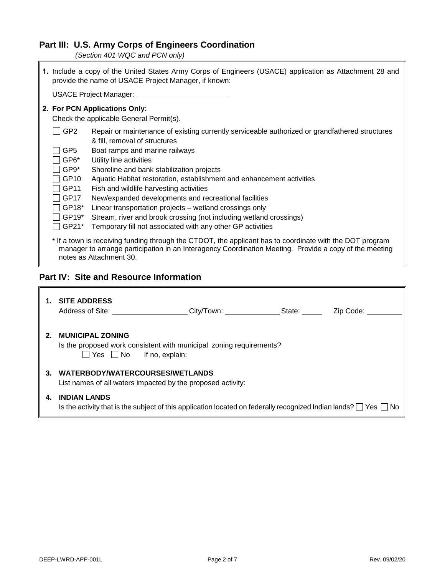# **Part III: U.S. Army Corps of Engineers Coordination**

*(Section 401 WQC and PCN only)*

h

|                                                                                                                                                                                                                                               | 1. Include a copy of the United States Army Corps of Engineers (USACE) application as Attachment 28 and<br>provide the name of USACE Project Manager, if known:   |  |
|-----------------------------------------------------------------------------------------------------------------------------------------------------------------------------------------------------------------------------------------------|-------------------------------------------------------------------------------------------------------------------------------------------------------------------|--|
|                                                                                                                                                                                                                                               | USACE Project Manager:                                                                                                                                            |  |
|                                                                                                                                                                                                                                               | 2. For PCN Applications Only:<br>Check the applicable General Permit(s).                                                                                          |  |
| GP <sub>2</sub><br>GP5                                                                                                                                                                                                                        | Repair or maintenance of existing currently serviceable authorized or grandfathered structures<br>& fill, removal of structures<br>Boat ramps and marine railways |  |
| GP6*                                                                                                                                                                                                                                          | Utility line activities                                                                                                                                           |  |
| GP9*<br>GP10<br>GP11                                                                                                                                                                                                                          | Shoreline and bank stabilization projects<br>Aquatic Habitat restoration, establishment and enhancement activities<br>Fish and wildlife harvesting activities     |  |
| GP17<br>GP18*                                                                                                                                                                                                                                 | New/expanded developments and recreational facilities<br>Linear transportation projects – wetland crossings only                                                  |  |
| GP19*<br>GP21*                                                                                                                                                                                                                                | Stream, river and brook crossing (not including wetland crossings)<br>Temporary fill not associated with any other GP activities                                  |  |
| * If a town is receiving funding through the CTDOT, the applicant has to coordinate with the DOT program<br>manager to arrange participation in an Interagency Coordination Meeting. Provide a copy of the meeting<br>notes as Attachment 30. |                                                                                                                                                                   |  |

## **Part IV: Site and Resource Information**

| 1.      | <b>SITE ADDRESS</b><br>Address of Site:                         | City/Town:                                                                                                                 | State: | Zip Code: |
|---------|-----------------------------------------------------------------|----------------------------------------------------------------------------------------------------------------------------|--------|-----------|
| $2_{-}$ | <b>MUNICIPAL ZONING</b><br>$\Box$ Yes $\Box$ No If no, explain: | Is the proposed work consistent with municipal zoning requirements?                                                        |        |           |
| 3.      | WATERBODY/WATERCOURSES/WETLANDS                                 | List names of all waters impacted by the proposed activity:                                                                |        |           |
| 4.      | <b>INDIAN LANDS</b>                                             | Is the activity that is the subject of this application located on federally recognized Indian lands? $\Box$ Yes $\Box$ No |        |           |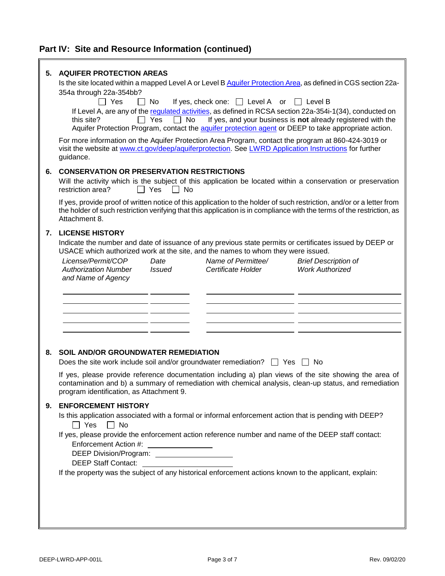# **Part IV: Site and Resource Information (continued)**

| 5. | <b>AQUIFER PROTECTION AREAS</b>                                                                                                                                                                            |
|----|------------------------------------------------------------------------------------------------------------------------------------------------------------------------------------------------------------|
|    | Is the site located within a mapped Level A or Level B Aquifer Protection Area, as defined in CGS section 22a-                                                                                             |
|    | 354a through 22a-354bb?                                                                                                                                                                                    |
|    | $\Box$ Yes<br>If yes, check one: $\Box$ Level A or<br>l I No<br>$\Box$ Level B                                                                                                                             |
|    | If Level A, are any of the regulated activities, as defined in RCSA section 22a-354i-1(34), conducted on<br>If yes, and your business is not already registered with the<br>$\Box$ Yes<br>No<br>this site? |
|    | Aquifer Protection Program, contact the aquifer protection agent or DEEP to take appropriate action.                                                                                                       |
|    | For more information on the Aquifer Protection Area Program, contact the program at 860-424-3019 or                                                                                                        |
|    | visit the website at www.ct.gov/deep/aquiferprotection. See LWRD Application Instructions for further                                                                                                      |
|    | guidance.                                                                                                                                                                                                  |
| 6. | <b>CONSERVATION OR PRESERVATION RESTRICTIONS</b>                                                                                                                                                           |
|    | Will the activity which is the subject of this application be located within a conservation or preservation                                                                                                |
|    | restriction area?<br>$\Box$ Yes<br>$\Box$ No                                                                                                                                                               |
|    | If yes, provide proof of written notice of this application to the holder of such restriction, and/or or a letter from                                                                                     |
|    | the holder of such restriction verifying that this application is in compliance with the terms of the restriction, as                                                                                      |
|    | Attachment 8.                                                                                                                                                                                              |
| 7. | <b>LICENSE HISTORY</b>                                                                                                                                                                                     |
|    | Indicate the number and date of issuance of any previous state permits or certificates issued by DEEP or                                                                                                   |
|    | USACE which authorized work at the site, and the names to whom they were issued.                                                                                                                           |
|    | License/Permit/COP<br>Name of Permittee/<br><b>Brief Description of</b><br>Date                                                                                                                            |
|    | <b>Work Authorized</b><br><b>Authorization Number</b><br><b>Issued</b><br>Certificate Holder                                                                                                               |
|    | and Name of Agency                                                                                                                                                                                         |
|    |                                                                                                                                                                                                            |
|    |                                                                                                                                                                                                            |
|    |                                                                                                                                                                                                            |
|    |                                                                                                                                                                                                            |
|    |                                                                                                                                                                                                            |
|    |                                                                                                                                                                                                            |
| 8. | <b>SOIL AND/OR GROUNDWATER REMEDIATION</b>                                                                                                                                                                 |
|    | Does the site work include soil and/or groundwater remediation? $\Box$ Yes $\Box$ No                                                                                                                       |
|    | If yes, please provide reference documentation including a) plan views of the site showing the area of                                                                                                     |
|    | contamination and b) a summary of remediation with chemical analysis, clean-up status, and remediation                                                                                                     |
|    | program identification, as Attachment 9.                                                                                                                                                                   |
| 9. | <b>ENFORCEMENT HISTORY</b>                                                                                                                                                                                 |
|    | Is this application associated with a formal or informal enforcement action that is pending with DEEP?                                                                                                     |
|    | $\Box$ Yes<br>$\Box$ No                                                                                                                                                                                    |
|    | If yes, please provide the enforcement action reference number and name of the DEEP staff contact:                                                                                                         |
|    | Enforcement Action #:                                                                                                                                                                                      |
|    | DEEP Division/Program: ______________________<br><b>DEEP Staff Contact:</b>                                                                                                                                |
|    | If the property was the subject of any historical enforcement actions known to the applicant, explain:                                                                                                     |
|    |                                                                                                                                                                                                            |
|    |                                                                                                                                                                                                            |
|    |                                                                                                                                                                                                            |
|    |                                                                                                                                                                                                            |
|    |                                                                                                                                                                                                            |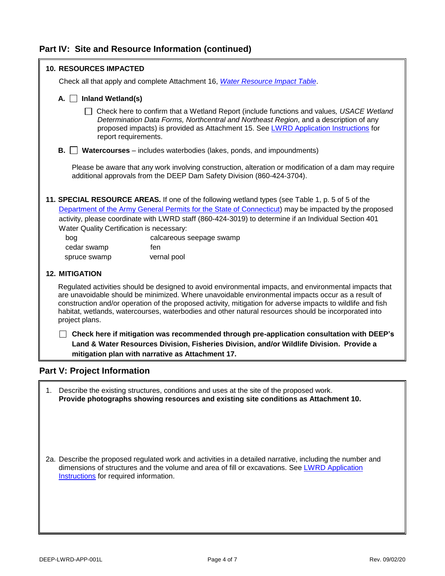## **Part IV: Site and Resource Information (continued)**

| <b>10. RESOURCES IMPACTED</b>                                                                                                                                                                                                                                                                                                                                                                                                                        |
|------------------------------------------------------------------------------------------------------------------------------------------------------------------------------------------------------------------------------------------------------------------------------------------------------------------------------------------------------------------------------------------------------------------------------------------------------|
| Check all that apply and complete Attachment 16, Water Resource Impact Table.                                                                                                                                                                                                                                                                                                                                                                        |
| Inland Wetland(s)<br>$A. \mid \cdot$                                                                                                                                                                                                                                                                                                                                                                                                                 |
| Check here to confirm that a Wetland Report (include functions and values, USACE Wetland<br>Determination Data Forms, Northcentral and Northeast Region, and a description of any<br>proposed impacts) is provided as Attachment 15. See LWRD Application Instructions for<br>report requirements.                                                                                                                                                   |
| Watercourses – includes waterbodies (lakes, ponds, and impoundments)<br>В.                                                                                                                                                                                                                                                                                                                                                                           |
| Please be aware that any work involving construction, alteration or modification of a dam may require<br>additional approvals from the DEEP Dam Safety Division (860-424-3704).                                                                                                                                                                                                                                                                      |
| 11. SPECIAL RESOURCE AREAS. If one of the following wetland types (see Table 1, p. 5 of 5 of the<br>Department of the Army General Permits for the State of Connecticut) may be impacted by the proposed                                                                                                                                                                                                                                             |
| activity, please coordinate with LWRD staff (860-424-3019) to determine if an Individual Section 401                                                                                                                                                                                                                                                                                                                                                 |
| Water Quality Certification is necessary:                                                                                                                                                                                                                                                                                                                                                                                                            |
| bog<br>calcareous seepage swamp                                                                                                                                                                                                                                                                                                                                                                                                                      |
| cedar swamp<br>fen                                                                                                                                                                                                                                                                                                                                                                                                                                   |
| vernal pool<br>spruce swamp                                                                                                                                                                                                                                                                                                                                                                                                                          |
| <b>12. MITIGATION</b>                                                                                                                                                                                                                                                                                                                                                                                                                                |
| Regulated activities should be designed to avoid environmental impacts, and environmental impacts that<br>are unavoidable should be minimized. Where unavoidable environmental impacts occur as a result of<br>construction and/or operation of the proposed activity, mitigation for adverse impacts to wildlife and fish<br>habitat, wetlands, watercourses, waterbodies and other natural resources should be incorporated into<br>project plans. |
| Check here if mitigation was recommended through pre-application consultation with DEEP's<br>Land & Water Resources Division, Fisheries Division, and/or Wildlife Division. Provide a<br>mitigation plan with narrative as Attachment 17.                                                                                                                                                                                                            |
| <b>Part V: Project Information</b>                                                                                                                                                                                                                                                                                                                                                                                                                   |

1. Describe the existing structures, conditions and uses at the site of the proposed work. **Provide photographs showing resources and existing site conditions as Attachment 10.**

2a. Describe the proposed regulated work and activities in a detailed narrative, including the number and dimensions of structures and the volume and area of fill or excavations. See LWRD Application **[Instructions](https://portal.ct.gov/-/media/DEEP/Permits_and_Licenses/Land_Use_Permits/LWRD/LWRDinstpdf#Page=4.pdf?la=en)** for required information.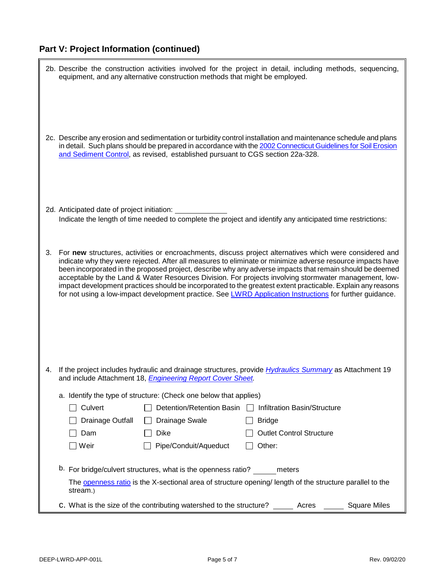# **Part V: Project Information (continued)**

|    |                                             | 2b. Describe the construction activities involved for the project in detail, including methods, sequencing,<br>equipment, and any alternative construction methods that might be employed.                                                                                                                                                                                                                                                                                                                                                                                                                                                                            |                                                          |  |
|----|---------------------------------------------|-----------------------------------------------------------------------------------------------------------------------------------------------------------------------------------------------------------------------------------------------------------------------------------------------------------------------------------------------------------------------------------------------------------------------------------------------------------------------------------------------------------------------------------------------------------------------------------------------------------------------------------------------------------------------|----------------------------------------------------------|--|
|    |                                             | 2c. Describe any erosion and sedimentation or turbidity control installation and maintenance schedule and plans<br>in detail. Such plans should be prepared in accordance with the 2002 Connecticut Guidelines for Soil Erosion<br>and Sediment Control, as revised, established pursuant to CGS section 22a-328.                                                                                                                                                                                                                                                                                                                                                     |                                                          |  |
|    | 2d. Anticipated date of project initiation: | Indicate the length of time needed to complete the project and identify any anticipated time restrictions:                                                                                                                                                                                                                                                                                                                                                                                                                                                                                                                                                            |                                                          |  |
| 3. |                                             | For new structures, activities or encroachments, discuss project alternatives which were considered and<br>indicate why they were rejected. After all measures to eliminate or minimize adverse resource impacts have<br>been incorporated in the proposed project, describe why any adverse impacts that remain should be deemed<br>acceptable by the Land & Water Resources Division. For projects involving stormwater management, low-<br>impact development practices should be incorporated to the greatest extent practicable. Explain any reasons<br>for not using a low-impact development practice. See LWRD Application Instructions for further guidance. |                                                          |  |
|    |                                             |                                                                                                                                                                                                                                                                                                                                                                                                                                                                                                                                                                                                                                                                       |                                                          |  |
| 4. |                                             | If the project includes hydraulic and drainage structures, provide <i>Hydraulics Summary</i> as Attachment 19<br>and include Attachment 18, <i>Engineering Report Cover Sheet</i> .                                                                                                                                                                                                                                                                                                                                                                                                                                                                                   |                                                          |  |
|    |                                             | a. Identify the type of structure: (Check one below that applies)                                                                                                                                                                                                                                                                                                                                                                                                                                                                                                                                                                                                     |                                                          |  |
|    | $\Box$ Culvert                              |                                                                                                                                                                                                                                                                                                                                                                                                                                                                                                                                                                                                                                                                       | Detention/Retention Basin   Infiltration Basin/Structure |  |
|    | Drainage Outfall                            | Drainage Swale                                                                                                                                                                                                                                                                                                                                                                                                                                                                                                                                                                                                                                                        | <b>Bridge</b>                                            |  |
|    | Dam                                         | <b>Dike</b>                                                                                                                                                                                                                                                                                                                                                                                                                                                                                                                                                                                                                                                           | <b>Outlet Control Structure</b>                          |  |
|    | ] Weir                                      | Pipe/Conduit/Aqueduct                                                                                                                                                                                                                                                                                                                                                                                                                                                                                                                                                                                                                                                 | Other:                                                   |  |
|    |                                             | b. For bridge/culvert structures, what is the openness ratio? meters                                                                                                                                                                                                                                                                                                                                                                                                                                                                                                                                                                                                  |                                                          |  |
|    | stream.)                                    | The openness ratio is the X-sectional area of structure opening/ length of the structure parallel to the                                                                                                                                                                                                                                                                                                                                                                                                                                                                                                                                                              |                                                          |  |
|    |                                             | C. What is the size of the contributing watershed to the structure? _________ Acres ________ Square Miles                                                                                                                                                                                                                                                                                                                                                                                                                                                                                                                                                             |                                                          |  |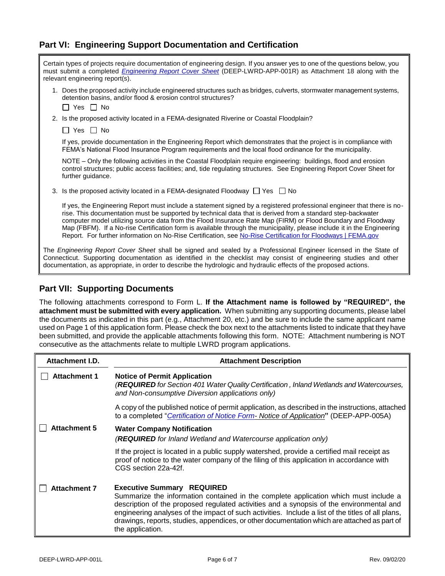## **Part VI: Engineering Support Documentation and Certification**

| Certain types of projects require documentation of engineering design. If you answer yes to one of the questions below, you<br>must submit a completed <i>Engineering Report Cover Sheet</i> (DEEP-LWRD-APP-001R) as Attachment 18 along with the<br>relevant engineering report(s). |                                                                                                                                                                                                                                                                                                                                                                                                                                                                                                                                                                                                  |  |
|--------------------------------------------------------------------------------------------------------------------------------------------------------------------------------------------------------------------------------------------------------------------------------------|--------------------------------------------------------------------------------------------------------------------------------------------------------------------------------------------------------------------------------------------------------------------------------------------------------------------------------------------------------------------------------------------------------------------------------------------------------------------------------------------------------------------------------------------------------------------------------------------------|--|
|                                                                                                                                                                                                                                                                                      | 1. Does the proposed activity include engineered structures such as bridges, culverts, stormwater management systems,<br>detention basins, and/or flood & erosion control structures?<br>II Yes II No                                                                                                                                                                                                                                                                                                                                                                                            |  |
|                                                                                                                                                                                                                                                                                      | 2. Is the proposed activity located in a FEMA-designated Riverine or Coastal Floodplain?                                                                                                                                                                                                                                                                                                                                                                                                                                                                                                         |  |
|                                                                                                                                                                                                                                                                                      | Yes    No                                                                                                                                                                                                                                                                                                                                                                                                                                                                                                                                                                                        |  |
|                                                                                                                                                                                                                                                                                      | If yes, provide documentation in the Engineering Report which demonstrates that the project is in compliance with<br>FEMA's National Flood Insurance Program requirements and the local flood ordinance for the municipality.                                                                                                                                                                                                                                                                                                                                                                    |  |
|                                                                                                                                                                                                                                                                                      | NOTE – Only the following activities in the Coastal Floodplain require engineering: buildings, flood and erosion<br>control structures; public access facilities; and, tide regulating structures. See Engineering Report Cover Sheet for<br>further guidance.                                                                                                                                                                                                                                                                                                                                   |  |
|                                                                                                                                                                                                                                                                                      | 3. Is the proposed activity located in a FEMA-designated Floodway $\Box$ Yes $\Box$ No                                                                                                                                                                                                                                                                                                                                                                                                                                                                                                           |  |
|                                                                                                                                                                                                                                                                                      | If yes, the Engineering Report must include a statement signed by a registered professional engineer that there is no-<br>rise. This documentation must be supported by technical data that is derived from a standard step-backwater<br>computer model utilizing source data from the Flood Insurance Rate Map (FIRM) or Flood Boundary and Floodway<br>Map (FBFM). If a No-rise Certification form is available through the municipality, please include it in the Engineering<br>Report. For further information on No-Rise Certification, see No-Rise Certification for Floodways   FEMA.gov |  |
|                                                                                                                                                                                                                                                                                      | The Engineering Report Cover Sheet shall be signed and sealed by a Professional Engineer licensed in the State of<br>Connecticut. Supporting documentation as identified in the checklist may consist of engineering studies and other<br>documentation, as appropriate, in order to describe the hydrologic and hydraulic effects of the proposed actions.                                                                                                                                                                                                                                      |  |

### **Part VII: Supporting Documents**

The following attachments correspond to Form L. **If the Attachment name is followed by "REQUIRED", the attachment must be submitted with every application.** When submitting any supporting documents, please label the documents as indicated in this part (e.g., Attachment 20, etc.) and be sure to include the same applicant name used on Page 1 of this application form. Please check the box next to the attachments listed to indicate that they have been submitted, and provide the applicable attachments following this form. NOTE: Attachment numbering is NOT consecutive as the attachments relate to multiple LWRD program applications.

| Attachment I.D.     | <b>Attachment Description</b>                                                                                                                                                                                                                                                                                                                                                                                                                  |
|---------------------|------------------------------------------------------------------------------------------------------------------------------------------------------------------------------------------------------------------------------------------------------------------------------------------------------------------------------------------------------------------------------------------------------------------------------------------------|
| <b>Attachment 1</b> | <b>Notice of Permit Application</b><br>(REQUIRED for Section 401 Water Quality Certification, Inland Wetlands and Watercourses,<br>and Non-consumptive Diversion applications only)                                                                                                                                                                                                                                                            |
|                     | A copy of the published notice of permit application, as described in the instructions, attached<br>to a completed "Certification of Notice Form-Notice of Application" (DEEP-APP-005A)                                                                                                                                                                                                                                                        |
| <b>Attachment 5</b> | <b>Water Company Notification</b><br>(REQUIRED for Inland Wetland and Watercourse application only)                                                                                                                                                                                                                                                                                                                                            |
|                     | If the project is located in a public supply watershed, provide a certified mail receipt as<br>proof of notice to the water company of the filing of this application in accordance with<br>CGS section 22a-42f.                                                                                                                                                                                                                               |
| <b>Attachment 7</b> | <b>Executive Summary REQUIRED</b><br>Summarize the information contained in the complete application which must include a<br>description of the proposed regulated activities and a synopsis of the environmental and<br>engineering analyses of the impact of such activities. Include a list of the titles of all plans,<br>drawings, reports, studies, appendices, or other documentation which are attached as part of<br>the application. |